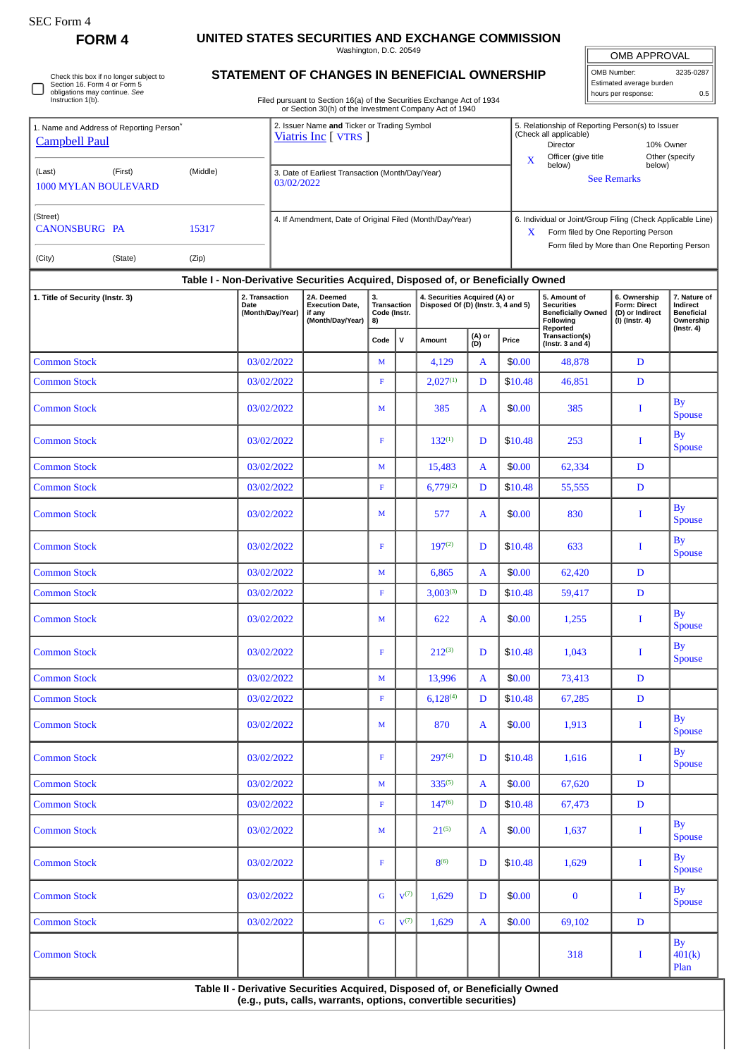| EU FOLM |  |
|---------|--|
|---------|--|

**FORM 4 UNITED STATES SECURITIES AND EXCHANGE COMMISSION**

Washington, D.C. 20549

OMB APPROVAL OMB Number: 3235-0287 Estimated average burden hours per response: 0.5

## **STATEMENT OF CHANGES IN BENEFICIAL OWNERSHIP**

Filed pursuant to Section 16(a) of the Securities Exchange Act of 1934 or Section 30(h) of the Investment Company Act of 1940

| 1. Name and Address of Reporting Person <sup>7</sup><br><b>Campbell Paul</b><br>(Middle)<br>(Last)<br>(First) | 03/02/2022                                                                                                                                      | 2. Issuer Name and Ticker or Trading Symbol<br>Viatris Inc [ VTRS ]<br>3. Date of Earliest Transaction (Month/Day/Year) |                                         |                  |                                                                      | $\mathbf x$   | 5. Relationship of Reporting Person(s) to Issuer<br>(Check all applicable)<br>Director<br>10% Owner<br>Officer (give title<br>Other (specify<br>below)<br>below)<br><b>See Remarks</b> |                                                                                                                                    |                                                                          |                                                                                |  |  |
|---------------------------------------------------------------------------------------------------------------|-------------------------------------------------------------------------------------------------------------------------------------------------|-------------------------------------------------------------------------------------------------------------------------|-----------------------------------------|------------------|----------------------------------------------------------------------|---------------|----------------------------------------------------------------------------------------------------------------------------------------------------------------------------------------|------------------------------------------------------------------------------------------------------------------------------------|--------------------------------------------------------------------------|--------------------------------------------------------------------------------|--|--|
| <b>1000 MYLAN BOULEVARD</b>                                                                                   |                                                                                                                                                 |                                                                                                                         |                                         |                  |                                                                      |               |                                                                                                                                                                                        |                                                                                                                                    |                                                                          |                                                                                |  |  |
| (Street)<br><b>CANONSBURG PA</b><br>15317                                                                     |                                                                                                                                                 | 4. If Amendment, Date of Original Filed (Month/Day/Year)                                                                |                                         |                  |                                                                      |               | 6. Individual or Joint/Group Filing (Check Applicable Line)<br>Form filed by One Reporting Person<br>X.<br>Form filed by More than One Reporting Person                                |                                                                                                                                    |                                                                          |                                                                                |  |  |
| (City)<br>(Zip)<br>(State)                                                                                    |                                                                                                                                                 |                                                                                                                         |                                         |                  |                                                                      |               |                                                                                                                                                                                        |                                                                                                                                    |                                                                          |                                                                                |  |  |
|                                                                                                               | Table I - Non-Derivative Securities Acquired, Disposed of, or Beneficially Owned                                                                |                                                                                                                         |                                         |                  |                                                                      |               |                                                                                                                                                                                        |                                                                                                                                    |                                                                          |                                                                                |  |  |
| 1. Title of Security (Instr. 3)                                                                               | 2. Transaction<br>Date<br>(Month/Day/Year)                                                                                                      | 2A. Deemed<br><b>Execution Date,</b><br>if any<br>(Month/Day/Year)                                                      | 3.<br>Transaction<br>Code (Instr.<br>8) |                  | 4. Securities Acquired (A) or<br>Disposed Of (D) (Instr. 3, 4 and 5) |               |                                                                                                                                                                                        | 5. Amount of<br><b>Securities</b><br><b>Beneficially Owned</b><br>Following<br>Reported<br>Transaction(s)<br>(Instr. $3$ and $4$ ) | 6. Ownership<br><b>Form: Direct</b><br>(D) or Indirect<br>(I) (Instr. 4) | 7. Nature of<br>Indirect<br><b>Beneficial</b><br>Ownership<br>$($ Instr. 4 $)$ |  |  |
|                                                                                                               |                                                                                                                                                 |                                                                                                                         | Code                                    | $\mathsf{v}$     | Amount                                                               | (A) or<br>(D) | Price                                                                                                                                                                                  |                                                                                                                                    |                                                                          |                                                                                |  |  |
| <b>Common Stock</b>                                                                                           | 03/02/2022                                                                                                                                      |                                                                                                                         | M                                       |                  | 4,129                                                                | A             | \$0.00                                                                                                                                                                                 | 48,878                                                                                                                             | D                                                                        |                                                                                |  |  |
| <b>Common Stock</b>                                                                                           | 03/02/2022                                                                                                                                      |                                                                                                                         | $\mathbf F$                             |                  | $2,027^{(1)}$                                                        | D             | \$10.48                                                                                                                                                                                | 46,851                                                                                                                             | $\mathbf D$                                                              |                                                                                |  |  |
| <b>Common Stock</b>                                                                                           | 03/02/2022                                                                                                                                      |                                                                                                                         | M                                       |                  | 385                                                                  | A             | \$0.00                                                                                                                                                                                 | 385                                                                                                                                | T                                                                        | <b>By</b><br><b>Spouse</b>                                                     |  |  |
| <b>Common Stock</b>                                                                                           | 03/02/2022                                                                                                                                      |                                                                                                                         | F                                       |                  | $132^{(1)}$                                                          | D             | \$10.48                                                                                                                                                                                | 253                                                                                                                                | I                                                                        | <b>By</b><br><b>Spouse</b>                                                     |  |  |
| <b>Common Stock</b>                                                                                           | 03/02/2022                                                                                                                                      |                                                                                                                         | M                                       |                  | 15,483                                                               | A             | \$0.00                                                                                                                                                                                 | 62,334                                                                                                                             | D                                                                        |                                                                                |  |  |
| <b>Common Stock</b>                                                                                           | 03/02/2022                                                                                                                                      |                                                                                                                         | $\mathbf F$                             |                  | $6,779^{(2)}$                                                        | D             | \$10.48                                                                                                                                                                                | 55,555                                                                                                                             | $\mathbf D$                                                              |                                                                                |  |  |
| <b>Common Stock</b>                                                                                           | 03/02/2022                                                                                                                                      |                                                                                                                         | M                                       |                  | 577                                                                  | A             | \$0.00                                                                                                                                                                                 | 830                                                                                                                                | Ι.                                                                       | <b>By</b><br><b>Spouse</b>                                                     |  |  |
| <b>Common Stock</b>                                                                                           | 03/02/2022                                                                                                                                      |                                                                                                                         | F                                       |                  | $197^{(2)}$                                                          | D             | \$10.48                                                                                                                                                                                | 633                                                                                                                                | I                                                                        | <b>By</b><br><b>Spouse</b>                                                     |  |  |
| <b>Common Stock</b>                                                                                           | 03/02/2022                                                                                                                                      |                                                                                                                         | M                                       |                  | 6,865                                                                | A             | \$0.00                                                                                                                                                                                 | 62,420                                                                                                                             | $\mathbf D$                                                              |                                                                                |  |  |
| <b>Common Stock</b>                                                                                           | 03/02/2022                                                                                                                                      |                                                                                                                         | $\mathbf F$                             |                  | $3,003^{(3)}$                                                        | D             | \$10.48                                                                                                                                                                                | 59,417                                                                                                                             | $\mathbf D$                                                              |                                                                                |  |  |
| <b>Common Stock</b>                                                                                           | 03/02/2022                                                                                                                                      |                                                                                                                         | M                                       |                  | 622                                                                  | A             | \$0.00                                                                                                                                                                                 | 1,255                                                                                                                              | -1                                                                       | <b>By</b><br><b>Spouse</b>                                                     |  |  |
| <b>Common Stock</b>                                                                                           | 03/02/2022                                                                                                                                      |                                                                                                                         | F                                       |                  | $212^{(3)}$                                                          | D             | \$10.48                                                                                                                                                                                | 1,043                                                                                                                              | Ι.                                                                       | By<br><b>Spouse</b>                                                            |  |  |
| <b>Common Stock</b>                                                                                           | 03/02/2022                                                                                                                                      |                                                                                                                         | $\mathbf M$                             |                  | 13,996                                                               | A             | \$0.00                                                                                                                                                                                 | 73,413                                                                                                                             | $\mathbf D$                                                              |                                                                                |  |  |
| <b>Common Stock</b>                                                                                           | 03/02/2022                                                                                                                                      |                                                                                                                         | $\mathbf F$                             |                  | $6,128^{(4)}$                                                        | D             | \$10.48                                                                                                                                                                                | 67,285                                                                                                                             | D                                                                        |                                                                                |  |  |
| <b>Common Stock</b>                                                                                           | 03/02/2022                                                                                                                                      |                                                                                                                         | M                                       |                  | 870                                                                  | A             | \$0.00                                                                                                                                                                                 | 1,913                                                                                                                              | $\bf{I}$                                                                 | <b>By</b><br><b>Spouse</b>                                                     |  |  |
| <b>Common Stock</b>                                                                                           | 03/02/2022                                                                                                                                      |                                                                                                                         | $\mathbf F$                             |                  | 297(4)                                                               | D             | \$10.48                                                                                                                                                                                | 1,616                                                                                                                              | $\bf{I}$                                                                 | <b>By</b><br><b>Spouse</b>                                                     |  |  |
| <b>Common Stock</b>                                                                                           | 03/02/2022                                                                                                                                      |                                                                                                                         | $\mathbf M$                             |                  | 335(5)                                                               | $\mathbf{A}$  | \$0.00                                                                                                                                                                                 | 67,620                                                                                                                             | D                                                                        |                                                                                |  |  |
| <b>Common Stock</b>                                                                                           | 03/02/2022                                                                                                                                      |                                                                                                                         | $\mathbf F$                             |                  | 147 <sup>(6)</sup>                                                   | D             | \$10.48                                                                                                                                                                                | 67,473                                                                                                                             | D                                                                        |                                                                                |  |  |
| <b>Common Stock</b>                                                                                           | 03/02/2022                                                                                                                                      |                                                                                                                         | M                                       |                  | $21^{(5)}$                                                           | A             | \$0.00                                                                                                                                                                                 | 1,637                                                                                                                              | $\bf{I}$                                                                 | <b>By</b><br><b>Spouse</b>                                                     |  |  |
| <b>Common Stock</b>                                                                                           | 03/02/2022                                                                                                                                      |                                                                                                                         | $\mathbf F$                             |                  | $8^{(6)}$                                                            | D             | \$10.48                                                                                                                                                                                | 1,629                                                                                                                              | $\bf{I}$                                                                 | <b>By</b><br><b>Spouse</b>                                                     |  |  |
| <b>Common Stock</b>                                                                                           | 03/02/2022                                                                                                                                      |                                                                                                                         | $\mathsf G$                             | V <sup>(7)</sup> | 1,629                                                                | D             | \$0.00                                                                                                                                                                                 | $\bf{0}$                                                                                                                           | $\bf{I}$                                                                 | <b>By</b><br><b>Spouse</b>                                                     |  |  |
| <b>Common Stock</b>                                                                                           | 03/02/2022                                                                                                                                      |                                                                                                                         | $\mathbf G$                             | $V^{(7)}$        | 1,629                                                                | A             | \$0.00                                                                                                                                                                                 | 69,102                                                                                                                             | D                                                                        |                                                                                |  |  |
| <b>Common Stock</b>                                                                                           |                                                                                                                                                 |                                                                                                                         |                                         |                  |                                                                      |               |                                                                                                                                                                                        | 318                                                                                                                                | $\bf{I}$                                                                 | By<br>401(k)<br>Plan                                                           |  |  |
|                                                                                                               | Table II - Derivative Securities Acquired, Disposed of, or Beneficially Owned<br>(e.g., puts, calls, warrants, options, convertible securities) |                                                                                                                         |                                         |                  |                                                                      |               |                                                                                                                                                                                        |                                                                                                                                    |                                                                          |                                                                                |  |  |